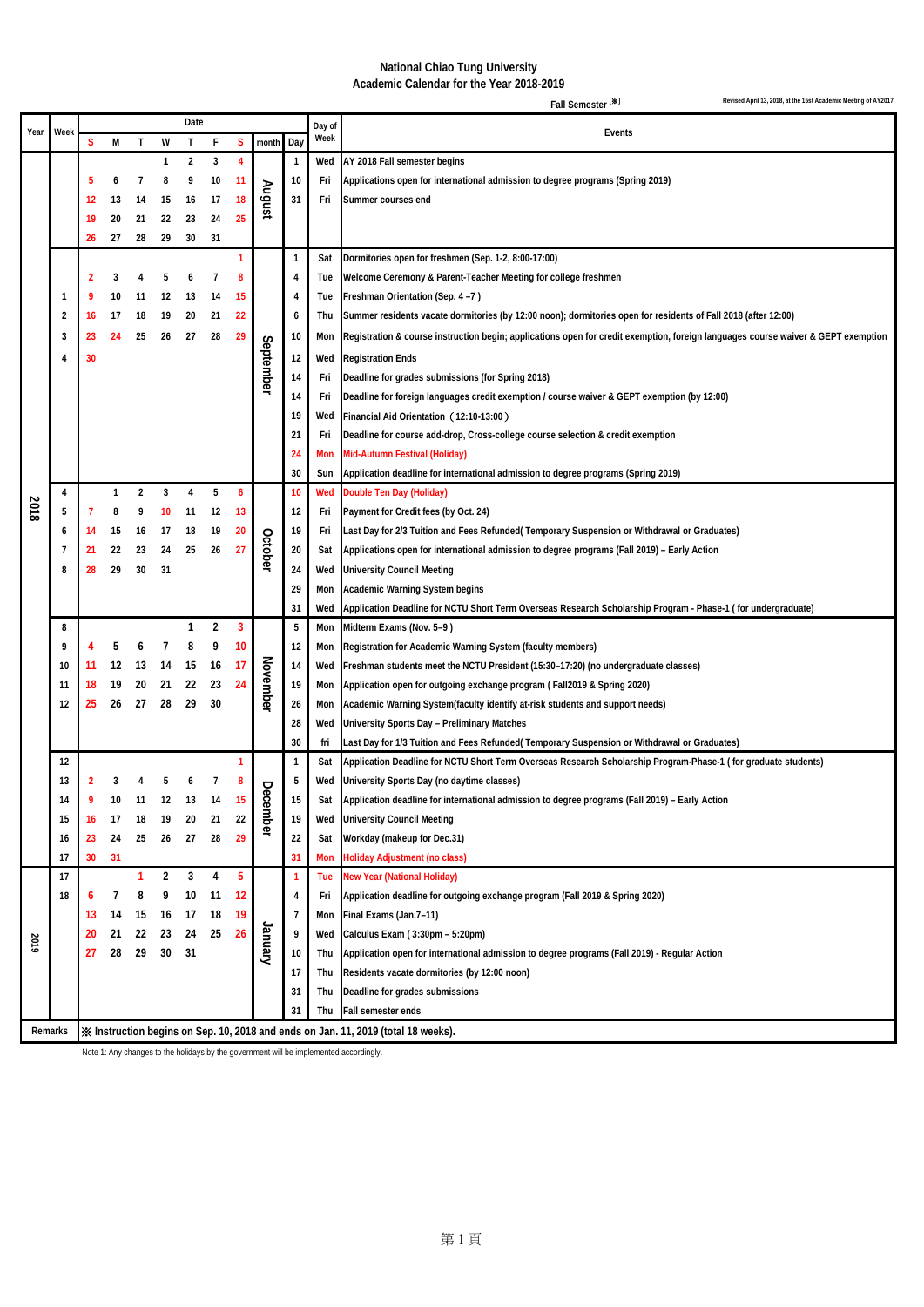## **National Chiao Tung University Academic Calendar for the Year 2018-2019**

**S M T W T F S month Day 2 3 4 1 Wed AY 2018 Fall semester begins 6 7 8 9 10 11 10 Fri Applications open for international admission to degree programs (Spring 2019) 13 14 15 16 17 18 31 Fri Summer courses end 20 21 22 23 24 25 27 28 29 30 31 1 Sat Dormitories open for freshmen (Sep. 1-2, 8:00-17:00) 3 4 5 6 7 8 4 Tue Welcome Ceremony & Parent-Teacher Meeting for college freshmen 9 10 11 12 13 14 15 4 Tue Freshman Orientation (Sep. 4 –7 ) 16 17 18 19 20 21 22 6 Thu Summer residents vacate dormitories (by 12:00 noon); dormitories open for residents of Fall 2018 (after 12:00)** 3 24 25 26 27 28 29 10 Mon Registration & course instruction begin; applications open for credit exemption, foreign languages course waiver & GEPT exemption **30 12 Wed Registration Ends Fri Deadline for grades submissions (for Spring 2018) Fri Deadline for foreign languages credit exemption / course waiver & GEPT exemption (by 12:00) Wed Financial Aid Orientation**(**12:10-13:00**) **Fri Deadline for course add-drop, Cross-college course selection & credit exemption Mon Mid-Autumn Festival (Holiday) Sun Application deadline for international admission to degree programs (Spring 2019) 1 2 3 4 5 6 10 Wed Double Ten Day (Holiday) 7 8 9 10 11 12 13 12 Fri Payment for Credit fees (by Oct. 24) 14 15 16 17 18 19 20 19 Fri Last Day for 2/3 Tuition and Fees Refunded( Temporary Suspension or Withdrawal or Graduates) 21 22 23 24 25 26 27 20 Sat Applications open for international admission to degree programs (Fall 2019) – Early Action 28 29 30 31 24 Wed University Council Meeting Mon Academic Warning System begins Wed Application Deadline for NCTU Short Term Overseas Research Scholarship Program - Phase-1 ( for undergraduate) 1 2 3 5 Mon Midterm Exams (Nov. 5–9 ) 4 5 6 7 8 9 10 12 Mon Registration for Academic Warning System (faculty members) 11 12 13 14 15 16 17 14 ed Freshman students meet the NCTU President (15:30–17:20) (no undergraduate classes)<br>
<b>11 18 19 20 21 22 23 24 19 19 10 10 10 10 10 11 11 1 18 19 20 21 22 23 24 19 Mon Application open for outgoing exchange program ( Fall2019 & Spring 2020) 25 26 27 28 29 30 26 Mon Academic Warning System(faculty identify at-risk students and support needs) Wed University Sports Day – Preliminary Matches fri Last Day for 1/3 Tuition and Fees Refunded( Temporary Suspension or Withdrawal or Graduates) 1 1 Sat Application Deadline for NCTU Short Term Overseas Research Scholarship Program-Phase-1 ( for graduate students) 2 3 4 5 6 7 8 5 Wed University Sports Day (no daytime classes) 9 10 11 12 13 14 15 15 Sat Application deadline for international admission to degree programs (Fall 2019) – Early Action 16 17 18 19 20 21 22 19 Wed University Council Meeting 23 24 25 26 27 28 29 22 Sat Workday (makeup for Dec.31) 30 31 31 Mon Holiday Adjustment (no class) 1 2 3 4 5 1 Tue New Year (National Holiday) 6 7 8 9 10 11 12 4 Fri Application deadline for outgoing exchange program (Fall 2019 & Spring 2020) 14 15 16 17 18 19 7 Mon Final Exams (Jan.7–11) 21 22 23 24 25 26 9 Wed Calculus Exam ( 3:30pm – 5:20pm) 28 29 30 31 10 Thu Application open for international admission to degree programs (Fall 2019) - Regular Action Thu Residents vacate dormitories (by 12:00 noon) Thu Deadline for grades submissions Thu Fall semester ends November December January Fall Semester**  $[\frac{4}{1}$  **Revised April 13, 2018, at the 15st Academic Meeting of AY2017 Remarks** ※ **Instruction begins on Sep. 10, 2018 and ends on Jan. 11, 2019 (total 18 weeks). Year Week Events Date Day of Week August** Septembe **October**

Note 1: Any changes to the holidays by the government will be implemented accordingly.